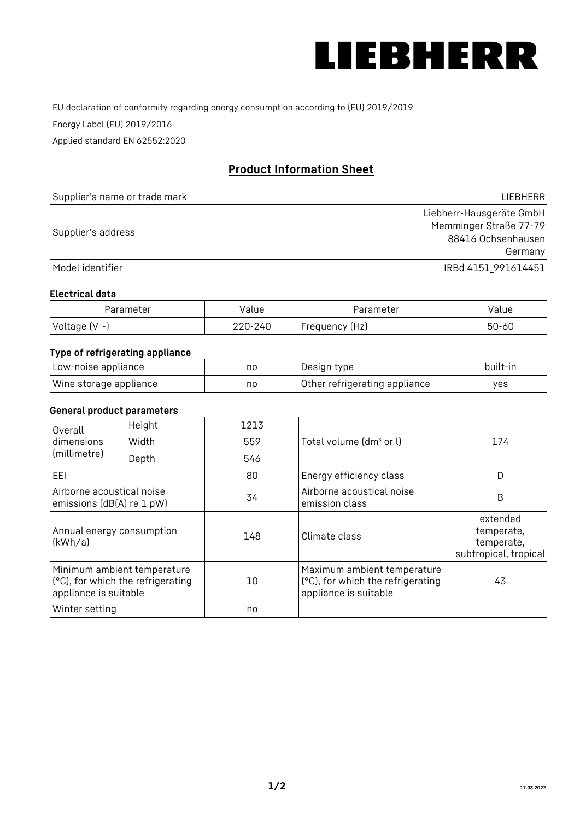

EU declaration of conformity regarding energy consumption according to (EU) 2019/2019

Energy Label (EU) 2019/2016

Applied standard EN 62552:2020

# **Product Information Sheet**

| Supplier's name or trade mark | <b>LIFBHFRR</b>          |
|-------------------------------|--------------------------|
|                               | Liebherr-Hausgeräte GmbH |
| Supplier's address            | Memminger Straße 77-79   |
|                               | 88416 Ochsenhausen       |
|                               | Germany                  |
| Model identifier              | IRBd 4151 991614451      |

#### **Electrical data**

| Parameter           | Value   | Parameter      | alue/     |
|---------------------|---------|----------------|-----------|
| Voltage (V $\sim$ ) | 220-240 | Frequency (Hz) | $50 - 60$ |

# **Type of refrigerating appliance**

| Low-noise appliance    | no | Design type                   | built-in |
|------------------------|----|-------------------------------|----------|
| Wine storage appliance | nc | Other refrigerating appliance | ves      |

## **General product parameters**

| Height                                                 |                                                                  | 1213 |                                                                                           |                                                               |
|--------------------------------------------------------|------------------------------------------------------------------|------|-------------------------------------------------------------------------------------------|---------------------------------------------------------------|
| Overall<br>dimensions<br>(millimetre)                  |                                                                  |      |                                                                                           | 174                                                           |
|                                                        | Width                                                            | 559  | Total volume (dm <sup>3</sup> or l)                                                       |                                                               |
|                                                        | Depth                                                            | 546  |                                                                                           |                                                               |
| EEL                                                    |                                                                  | 80   | Energy efficiency class                                                                   | D                                                             |
| Airborne acoustical noise<br>emissions (dB(A) re 1 pW) |                                                                  | 34   | Airborne acoustical noise<br>emission class                                               | B                                                             |
| Annual energy consumption<br>(kWh/a)                   |                                                                  | 148  | Climate class                                                                             | extended<br>temperate,<br>temperate,<br>subtropical, tropical |
| appliance is suitable                                  | Minimum ambient temperature<br>(°C), for which the refrigerating | 10   | Maximum ambient temperature<br>(°C), for which the refrigerating<br>appliance is suitable | 43                                                            |
| Winter setting                                         |                                                                  | no   |                                                                                           |                                                               |